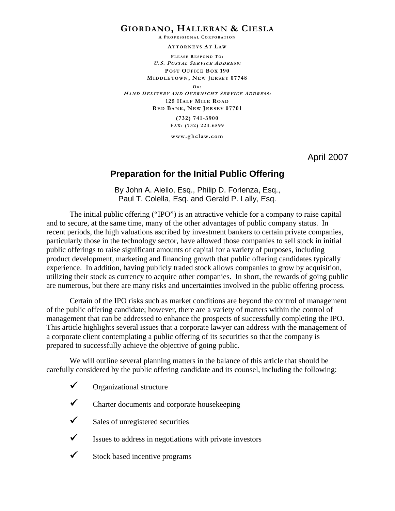# **GIORDANO, HALLERAN & CIESLA**

**A P ROFESSIONAL C ORPORATION**

**ATTORNEYS AT LAW** 

**P LEASE R ESPOND T O : U.S. POSTAL SERVICE ADDRESS : POST OFFICE BOX 190 MIDDLETOWN , NEW JERSEY 07748 OR : HAND DELIVERY AND OVERNIGHT S ERVICE ADDRESS : 125 HALF MILE ROAD R ED BANK, NEW J ERSEY 07701 (732) 741-3900 FA X: (732) 224-6599 www.ghclaw.com** 

April 2007

# **Preparation for the Initial Public Offering**

By John A. Aiello, Esq., Philip D. Forlenza, Esq., Paul T. Colella, Esq. and Gerald P. Lally, Esq.

 The initial public offering ("IPO") is an attractive vehicle for a company to raise capital and to secure, at the same time, many of the other advantages of public company status. In recent periods, the high valuations ascribed by investment bankers to certain private companies, particularly those in the technology sector, have allowed those companies to sell stock in initial public offerings to raise significant amounts of capital for a variety of purposes, including product development, marketing and financing growth that public offering candidates typically experience. In addition, having publicly traded stock allows companies to grow by acquisition, utilizing their stock as currency to acquire other companies. In short, the rewards of going public are numerous, but there are many risks and uncertainties involved in the public offering process.

 Certain of the IPO risks such as market conditions are beyond the control of management of the public offering candidate; however, there are a variety of matters within the control of management that can be addressed to enhance the prospects of successfully completing the IPO. This article highlights several issues that a corporate lawyer can address with the management of a corporate client contemplating a public offering of its securities so that the company is prepared to successfully achieve the objective of going public.

 We will outline several planning matters in the balance of this article that should be carefully considered by the public offering candidate and its counsel, including the following:

- $\checkmark$  Organizational structure
- $\checkmark$  Charter documents and corporate housekeeping
- $\checkmark$  Sales of unregistered securities
- $\checkmark$  Issues to address in negotiations with private investors
- $\checkmark$  Stock based incentive programs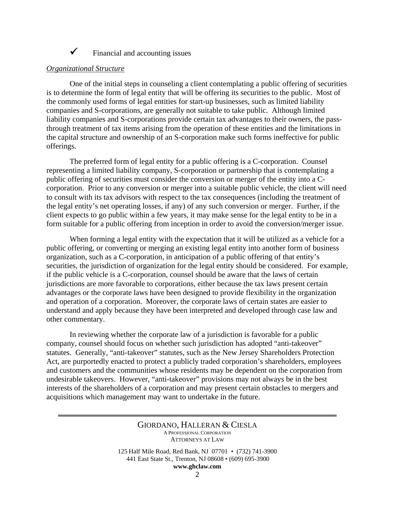# $\checkmark$  Financial and accounting issues

### *Organizational Structure*

 One of the initial steps in counseling a client contemplating a public offering of securities is to determine the form of legal entity that will be offering its securities to the public. Most of the commonly used forms of legal entities for start-up businesses, such as limited liability companies and S-corporations, are generally not suitable to take public. Although limited liability companies and S-corporations provide certain tax advantages to their owners, the passthrough treatment of tax items arising from the operation of these entities and the limitations in the capital structure and ownership of an S-corporation make such forms ineffective for public offerings.

 The preferred form of legal entity for a public offering is a C-corporation. Counsel representing a limited liability company, S-corporation or partnership that is contemplating a public offering of securities must consider the conversion or merger of the entity into a Ccorporation. Prior to any conversion or merger into a suitable public vehicle, the client will need to consult with its tax advisors with respect to the tax consequences (including the treatment of the legal entity's net operating losses, if any) of any such conversion or merger. Further, if the client expects to go public within a few years, it may make sense for the legal entity to be in a form suitable for a public offering from inception in order to avoid the conversion/merger issue.

 When forming a legal entity with the expectation that it will be utilized as a vehicle for a public offering, or converting or merging an existing legal entity into another form of business organization, such as a C-corporation, in anticipation of a public offering of that entity's securities, the jurisdiction of organization for the legal entity should be considered. For example, if the public vehicle is a C-corporation, counsel should be aware that the laws of certain jurisdictions are more favorable to corporations, either because the tax laws present certain advantages or the corporate laws have been designed to provide flexibility in the organization and operation of a corporation. Moreover, the corporate laws of certain states are easier to understand and apply because they have been interpreted and developed through case law and other commentary.

 In reviewing whether the corporate law of a jurisdiction is favorable for a public company, counsel should focus on whether such jurisdiction has adopted "anti-takeover" statutes. Generally, "anti-takeover" statutes, such as the New Jersey Shareholders Protection Act, are purportedly enacted to protect a publicly traded corporation's shareholders, employees and customers and the communities whose residents may be dependent on the corporation from undesirable takeovers. However, "anti-takeover" provisions may not always be in the best interests of the shareholders of a corporation and may present certain obstacles to mergers and acquisitions which management may want to undertake in the future.

> GIORDANO, HALLERAN & CIESLA A PROFESSIONAL CORPORATION ATTORNEYS AT LAW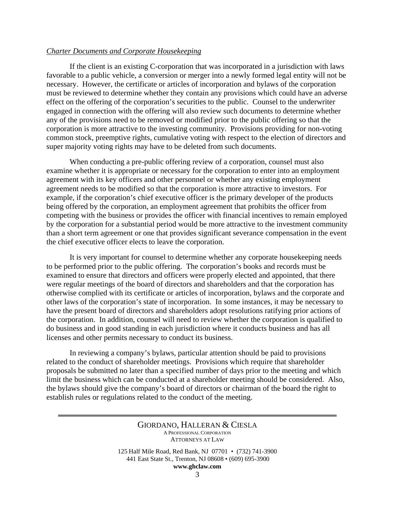### *Charter Documents and Corporate Housekeeping*

 If the client is an existing C-corporation that was incorporated in a jurisdiction with laws favorable to a public vehicle, a conversion or merger into a newly formed legal entity will not be necessary. However, the certificate or articles of incorporation and bylaws of the corporation must be reviewed to determine whether they contain any provisions which could have an adverse effect on the offering of the corporation's securities to the public. Counsel to the underwriter engaged in connection with the offering will also review such documents to determine whether any of the provisions need to be removed or modified prior to the public offering so that the corporation is more attractive to the investing community. Provisions providing for non-voting common stock, preemptive rights, cumulative voting with respect to the election of directors and super majority voting rights may have to be deleted from such documents.

 When conducting a pre-public offering review of a corporation, counsel must also examine whether it is appropriate or necessary for the corporation to enter into an employment agreement with its key officers and other personnel or whether any existing employment agreement needs to be modified so that the corporation is more attractive to investors. For example, if the corporation's chief executive officer is the primary developer of the products being offered by the corporation, an employment agreement that prohibits the officer from competing with the business or provides the officer with financial incentives to remain employed by the corporation for a substantial period would be more attractive to the investment community than a short term agreement or one that provides significant severance compensation in the event the chief executive officer elects to leave the corporation.

 It is very important for counsel to determine whether any corporate housekeeping needs to be performed prior to the public offering. The corporation's books and records must be examined to ensure that directors and officers were properly elected and appointed, that there were regular meetings of the board of directors and shareholders and that the corporation has otherwise complied with its certificate or articles of incorporation, bylaws and the corporate and other laws of the corporation's state of incorporation. In some instances, it may be necessary to have the present board of directors and shareholders adopt resolutions ratifying prior actions of the corporation. In addition, counsel will need to review whether the corporation is qualified to do business and in good standing in each jurisdiction where it conducts business and has all licenses and other permits necessary to conduct its business.

 In reviewing a company's bylaws, particular attention should be paid to provisions related to the conduct of shareholder meetings. Provisions which require that shareholder proposals be submitted no later than a specified number of days prior to the meeting and which limit the business which can be conducted at a shareholder meeting should be considered. Also, the bylaws should give the company's board of directors or chairman of the board the right to establish rules or regulations related to the conduct of the meeting.

> GIORDANO, HALLERAN & CIESLA A PROFESSIONAL CORPORATION ATTORNEYS AT LAW 125 Half Mile Road, Red Bank, NJ 07701 • (732) 741-3900

441 East State St., Trenton, NJ 08608 • (609) 695-3900

**www.ghclaw.com**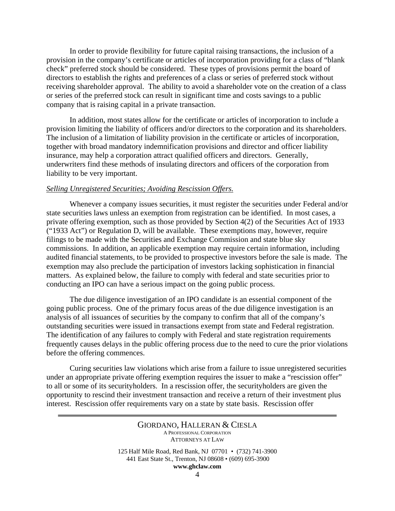In order to provide flexibility for future capital raising transactions, the inclusion of a provision in the company's certificate or articles of incorporation providing for a class of "blank check" preferred stock should be considered. These types of provisions permit the board of directors to establish the rights and preferences of a class or series of preferred stock without receiving shareholder approval. The ability to avoid a shareholder vote on the creation of a class or series of the preferred stock can result in significant time and costs savings to a public company that is raising capital in a private transaction.

 In addition, most states allow for the certificate or articles of incorporation to include a provision limiting the liability of officers and/or directors to the corporation and its shareholders. The inclusion of a limitation of liability provision in the certificate or articles of incorporation, together with broad mandatory indemnification provisions and director and officer liability insurance, may help a corporation attract qualified officers and directors. Generally, underwriters find these methods of insulating directors and officers of the corporation from liability to be very important.

### *Selling Unregistered Securities; Avoiding Rescission Offers.*

 Whenever a company issues securities, it must register the securities under Federal and/or state securities laws unless an exemption from registration can be identified. In most cases, a private offering exemption, such as those provided by Section 4(2) of the Securities Act of 1933 ("1933 Act") or Regulation D, will be available. These exemptions may, however, require filings to be made with the Securities and Exchange Commission and state blue sky commissions. In addition, an applicable exemption may require certain information, including audited financial statements, to be provided to prospective investors before the sale is made. The exemption may also preclude the participation of investors lacking sophistication in financial matters. As explained below, the failure to comply with federal and state securities prior to conducting an IPO can have a serious impact on the going public process.

 The due diligence investigation of an IPO candidate is an essential component of the going public process. One of the primary focus areas of the due diligence investigation is an analysis of all issuances of securities by the company to confirm that all of the company's outstanding securities were issued in transactions exempt from state and Federal registration. The identification of any failures to comply with Federal and state registration requirements frequently causes delays in the public offering process due to the need to cure the prior violations before the offering commences.

 Curing securities law violations which arise from a failure to issue unregistered securities under an appropriate private offering exemption requires the issuer to make a "rescission offer" to all or some of its securityholders. In a rescission offer, the securityholders are given the opportunity to rescind their investment transaction and receive a return of their investment plus interest. Rescission offer requirements vary on a state by state basis. Rescission offer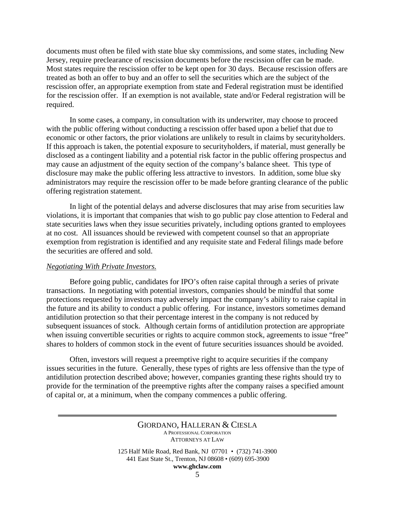documents must often be filed with state blue sky commissions, and some states, including New Jersey, require preclearance of rescission documents before the rescission offer can be made. Most states require the rescission offer to be kept open for 30 days. Because rescission offers are treated as both an offer to buy and an offer to sell the securities which are the subject of the rescission offer, an appropriate exemption from state and Federal registration must be identified for the rescission offer. If an exemption is not available, state and/or Federal registration will be required.

 In some cases, a company, in consultation with its underwriter, may choose to proceed with the public offering without conducting a rescission offer based upon a belief that due to economic or other factors, the prior violations are unlikely to result in claims by securityholders. If this approach is taken, the potential exposure to securityholders, if material, must generally be disclosed as a contingent liability and a potential risk factor in the public offering prospectus and may cause an adjustment of the equity section of the company's balance sheet. This type of disclosure may make the public offering less attractive to investors. In addition, some blue sky administrators may require the rescission offer to be made before granting clearance of the public offering registration statement.

 In light of the potential delays and adverse disclosures that may arise from securities law violations, it is important that companies that wish to go public pay close attention to Federal and state securities laws when they issue securities privately, including options granted to employees at no cost. All issuances should be reviewed with competent counsel so that an appropriate exemption from registration is identified and any requisite state and Federal filings made before the securities are offered and sold.

### *Negotiating With Private Investors.*

 Before going public, candidates for IPO's often raise capital through a series of private transactions. In negotiating with potential investors, companies should be mindful that some protections requested by investors may adversely impact the company's ability to raise capital in the future and its ability to conduct a public offering. For instance, investors sometimes demand antidilution protection so that their percentage interest in the company is not reduced by subsequent issuances of stock. Although certain forms of antidilution protection are appropriate when issuing convertible securities or rights to acquire common stock, agreements to issue "free" shares to holders of common stock in the event of future securities issuances should be avoided.

 Often, investors will request a preemptive right to acquire securities if the company issues securities in the future. Generally, these types of rights are less offensive than the type of antidilution protection described above; however, companies granting these rights should try to provide for the termination of the preemptive rights after the company raises a specified amount of capital or, at a minimum, when the company commences a public offering.

**www.ghclaw.com**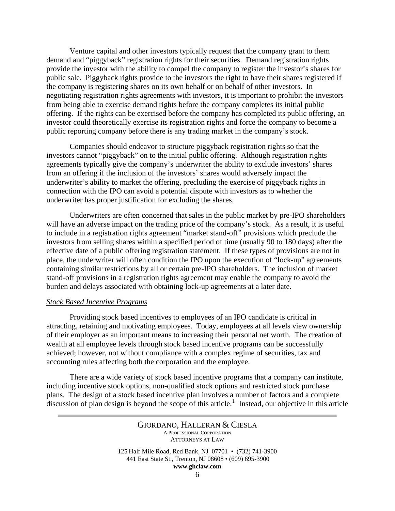Venture capital and other investors typically request that the company grant to them demand and "piggyback" registration rights for their securities. Demand registration rights provide the investor with the ability to compel the company to register the investor's shares for public sale. Piggyback rights provide to the investors the right to have their shares registered if the company is registering shares on its own behalf or on behalf of other investors. In negotiating registration rights agreements with investors, it is important to prohibit the investors from being able to exercise demand rights before the company completes its initial public offering. If the rights can be exercised before the company has completed its public offering, an investor could theoretically exercise its registration rights and force the company to become a public reporting company before there is any trading market in the company's stock.

 Companies should endeavor to structure piggyback registration rights so that the investors cannot "piggyback" on to the initial public offering. Although registration rights agreements typically give the company's underwriter the ability to exclude investors' shares from an offering if the inclusion of the investors' shares would adversely impact the underwriter's ability to market the offering, precluding the exercise of piggyback rights in connection with the IPO can avoid a potential dispute with investors as to whether the underwriter has proper justification for excluding the shares.

 Underwriters are often concerned that sales in the public market by pre-IPO shareholders will have an adverse impact on the trading price of the company's stock. As a result, it is useful to include in a registration rights agreement "market stand-off" provisions which preclude the investors from selling shares within a specified period of time (usually 90 to 180 days) after the effective date of a public offering registration statement. If these types of provisions are not in place, the underwriter will often condition the IPO upon the execution of "lock-up" agreements containing similar restrictions by all or certain pre-IPO shareholders. The inclusion of market stand-off provisions in a registration rights agreement may enable the company to avoid the burden and delays associated with obtaining lock-up agreements at a later date.

### *Stock Based Incentive Programs*

 Providing stock based incentives to employees of an IPO candidate is critical in attracting, retaining and motivating employees. Today, employees at all levels view ownership of their employer as an important means to increasing their personal net worth. The creation of wealth at all employee levels through stock based incentive programs can be successfully achieved; however, not without compliance with a complex regime of securities, tax and accounting rules affecting both the corporation and the employee.

 There are a wide variety of stock based incentive programs that a company can institute, including incentive stock options, non-qualified stock options and restricted stock purchase plans. The design of a stock based incentive plan involves a number of factors and a complete discussion of plan design is beyond the scope of this article.<sup>[1](#page-15-0)</sup> Instead, our objective in this article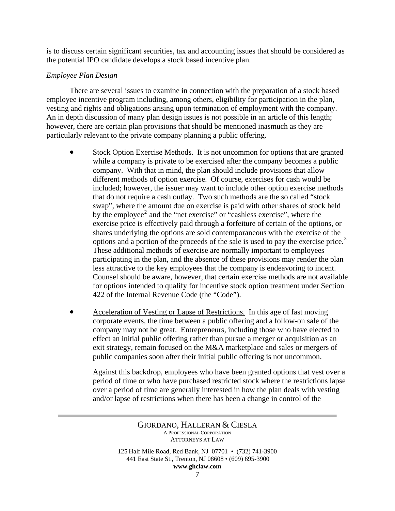is to discuss certain significant securities, tax and accounting issues that should be considered as the potential IPO candidate develops a stock based incentive plan.

## *Employee Plan Design*

 There are several issues to examine in connection with the preparation of a stock based employee incentive program including, among others, eligibility for participation in the plan, vesting and rights and obligations arising upon termination of employment with the company. An in depth discussion of many plan design issues is not possible in an article of this length; however, there are certain plan provisions that should be mentioned inasmuch as they are particularly relevant to the private company planning a public offering.

- Stock Option Exercise Methods. It is not uncommon for options that are granted while a company is private to be exercised after the company becomes a public company. With that in mind, the plan should include provisions that allow different methods of option exercise. Of course, exercises for cash would be included; however, the issuer may want to include other option exercise methods that do not require a cash outlay. Two such methods are the so called "stock swap", where the amount due on exercise is paid with other shares of stock held by the employee<sup>[2](#page-15-1)</sup> and the "net exercise" or "cashless exercise", where the exercise price is effectively paid through a forfeiture of certain of the options, or shares underlying the options are sold contemporaneous with the exercise of the options and a portion of the proceeds of the sale is used to pay the exercise price.<sup>[3](#page-15-1)</sup> These additional methods of exercise are normally important to employees participating in the plan, and the absence of these provisions may render the plan less attractive to the key employees that the company is endeavoring to incent. Counsel should be aware, however, that certain exercise methods are not available for options intended to qualify for incentive stock option treatment under Section 422 of the Internal Revenue Code (the "Code").
- Acceleration of Vesting or Lapse of Restrictions. In this age of fast moving corporate events, the time between a public offering and a follow-on sale of the company may not be great. Entrepreneurs, including those who have elected to effect an initial public offering rather than pursue a merger or acquisition as an exit strategy, remain focused on the M&A marketplace and sales or mergers of public companies soon after their initial public offering is not uncommon.

Against this backdrop, employees who have been granted options that vest over a period of time or who have purchased restricted stock where the restrictions lapse over a period of time are generally interested in how the plan deals with vesting and/or lapse of restrictions when there has been a change in control of the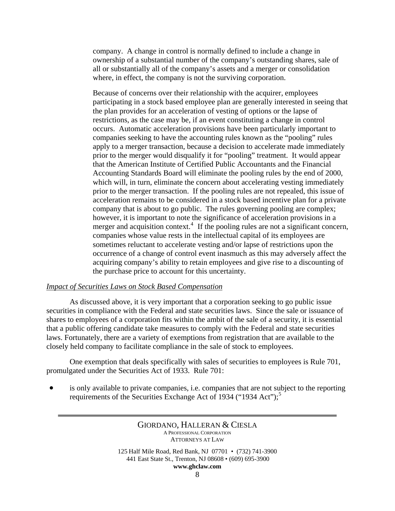company. A change in control is normally defined to include a change in ownership of a substantial number of the company's outstanding shares, sale of all or substantially all of the company's assets and a merger or consolidation where, in effect, the company is not the surviving corporation.

Because of concerns over their relationship with the acquirer, employees participating in a stock based employee plan are generally interested in seeing that the plan provides for an acceleration of vesting of options or the lapse of restrictions, as the case may be, if an event constituting a change in control occurs. Automatic acceleration provisions have been particularly important to companies seeking to have the accounting rules known as the "pooling" rules apply to a merger transaction, because a decision to accelerate made immediately prior to the merger would disqualify it for "pooling" treatment. It would appear that the American Institute of Certified Public Accountants and the Financial Accounting Standards Board will eliminate the pooling rules by the end of 2000, which will, in turn, eliminate the concern about accelerating vesting immediately prior to the merger transaction. If the pooling rules are not repealed, this issue of acceleration remains to be considered in a stock based incentive plan for a private company that is about to go public. The rules governing pooling are complex; however, it is important to note the significance of acceleration provisions in a merger and acquisition context.<sup>[4](#page-15-1)</sup> If the pooling rules are not a significant concern, companies whose value rests in the intellectual capital of its employees are sometimes reluctant to accelerate vesting and/or lapse of restrictions upon the occurrence of a change of control event inasmuch as this may adversely affect the acquiring company's ability to retain employees and give rise to a discounting of the purchase price to account for this uncertainty.

## *Impact of Securities Laws on Stock Based Compensation*

 As discussed above, it is very important that a corporation seeking to go public issue securities in compliance with the Federal and state securities laws. Since the sale or issuance of shares to employees of a corporation fits within the ambit of the sale of a security, it is essential that a public offering candidate take measures to comply with the Federal and state securities laws. Fortunately, there are a variety of exemptions from registration that are available to the closely held company to facilitate compliance in the sale of stock to employees.

 One exemption that deals specifically with sales of securities to employees is Rule 701, promulgated under the Securities Act of 1933. Rule 701:

is only available to private companies, i.e. companies that are not subject to the reporting requirements of the Securities Exchange Act of 1934 ("1934 Act");<sup>[5](#page-15-1)</sup>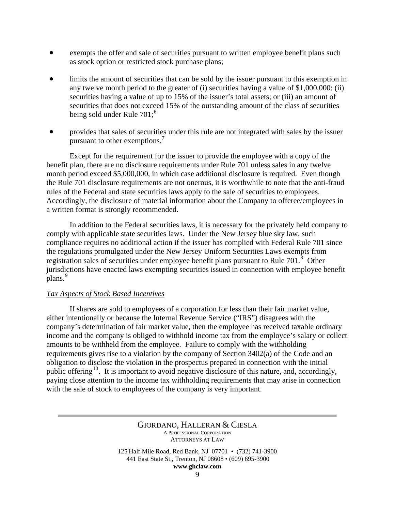- exempts the offer and sale of securities pursuant to written employee benefit plans such as stock option or restricted stock purchase plans;
- limits the amount of securities that can be sold by the issuer pursuant to this exemption in any twelve month period to the greater of (i) securities having a value of \$1,000,000; (ii) securities having a value of up to 15% of the issuer's total assets; or (iii) an amount of securities that does not exceed 15% of the outstanding amount of the class of securities being sold under Rule 701;<sup>[6](#page-15-1)</sup>
- provides that sales of securities under this rule are not integrated with sales by the issuer pursuant to other exemptions.<sup>[7](#page-15-1)</sup>

 Except for the requirement for the issuer to provide the employee with a copy of the benefit plan, there are no disclosure requirements under Rule 701 unless sales in any twelve month period exceed \$5,000,000, in which case additional disclosure is required. Even though the Rule 701 disclosure requirements are not onerous, it is worthwhile to note that the anti-fraud rules of the Federal and state securities laws apply to the sale of securities to employees. Accordingly, the disclosure of material information about the Company to offeree/employees in a written format is strongly recommended.

 In addition to the Federal securities laws, it is necessary for the privately held company to comply with applicable state securities laws. Under the New Jersey blue sky law, such compliance requires no additional action if the issuer has complied with Federal Rule 701 since the regulations promulgated under the New Jersey Uniform Securities Laws exempts from registration sales of securities under employee benefit plans pursuant to Rule  $701$ .<sup>[8](#page-15-1)</sup> Other jurisdictions have enacted laws exempting securities issued in connection with employee benefit plans.<sup>[9](#page-15-1)</sup>

### *Tax Aspects of Stock Based Incentives*

 If shares are sold to employees of a corporation for less than their fair market value, either intentionally or because the Internal Revenue Service ("IRS") disagrees with the company's determination of fair market value, then the employee has received taxable ordinary income and the company is obliged to withhold income tax from the employee's salary or collect amounts to be withheld from the employee. Failure to comply with the withholding requirements gives rise to a violation by the company of Section 3402(a) of the Code and an obligation to disclose the violation in the prospectus prepared in connection with the initial public offering<sup>[10](#page-15-1)</sup>. It is important to avoid negative disclosure of this nature, and, accordingly, paying close attention to the income tax withholding requirements that may arise in connection with the sale of stock to employees of the company is very important.

> GIORDANO, HALLERAN & CIESLA A PROFESSIONAL CORPORATION ATTORNEYS AT LAW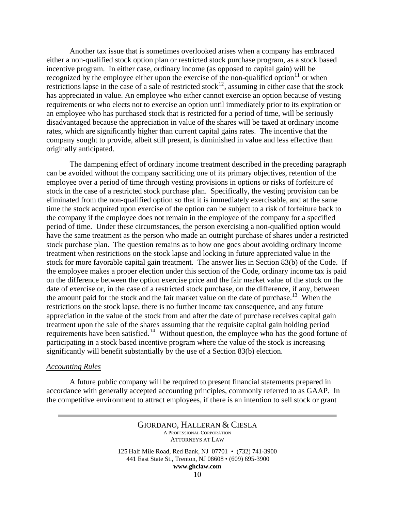Another tax issue that is sometimes overlooked arises when a company has embraced either a non-qualified stock option plan or restricted stock purchase program, as a stock based incentive program. In either case, ordinary income (as opposed to capital gain) will be recognized by the employee either upon the exercise of the non-qualified option $11$  or when restrictions lapse in the case of a sale of restricted stock<sup>[12](#page-15-1)</sup>, assuming in either case that the stock has appreciated in value. An employee who either cannot exercise an option because of vesting requirements or who elects not to exercise an option until immediately prior to its expiration or an employee who has purchased stock that is restricted for a period of time, will be seriously disadvantaged because the appreciation in value of the shares will be taxed at ordinary income rates, which are significantly higher than current capital gains rates. The incentive that the company sought to provide, albeit still present, is diminished in value and less effective than originally anticipated.

 The dampening effect of ordinary income treatment described in the preceding paragraph can be avoided without the company sacrificing one of its primary objectives, retention of the employee over a period of time through vesting provisions in options or risks of forfeiture of stock in the case of a restricted stock purchase plan. Specifically, the vesting provision can be eliminated from the non-qualified option so that it is immediately exercisable, and at the same time the stock acquired upon exercise of the option can be subject to a risk of forfeiture back to the company if the employee does not remain in the employee of the company for a specified period of time. Under these circumstances, the person exercising a non-qualified option would have the same treatment as the person who made an outright purchase of shares under a restricted stock purchase plan. The question remains as to how one goes about avoiding ordinary income treatment when restrictions on the stock lapse and locking in future appreciated value in the stock for more favorable capital gain treatment. The answer lies in Section 83(b) of the Code. If the employee makes a proper election under this section of the Code, ordinary income tax is paid on the difference between the option exercise price and the fair market value of the stock on the date of exercise or, in the case of a restricted stock purchase, on the difference, if any, between the amount paid for the stock and the fair market value on the date of purchase.<sup>[13](#page-15-1)</sup> When the restrictions on the stock lapse, there is no further income tax consequence, and any future appreciation in the value of the stock from and after the date of purchase receives capital gain treatment upon the sale of the shares assuming that the requisite capital gain holding period requirements have been satisfied.<sup>[14](#page-15-1)</sup> Without question, the employee who has the good fortune of participating in a stock based incentive program where the value of the stock is increasing significantly will benefit substantially by the use of a Section 83(b) election.

### *Accounting Rules*

 A future public company will be required to present financial statements prepared in accordance with generally accepted accounting principles, commonly referred to as GAAP. In the competitive environment to attract employees, if there is an intention to sell stock or grant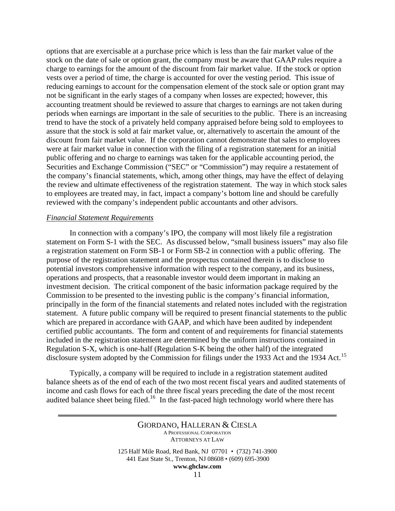options that are exercisable at a purchase price which is less than the fair market value of the stock on the date of sale or option grant, the company must be aware that GAAP rules require a charge to earnings for the amount of the discount from fair market value. If the stock or option vests over a period of time, the charge is accounted for over the vesting period. This issue of reducing earnings to account for the compensation element of the stock sale or option grant may not be significant in the early stages of a company when losses are expected; however, this accounting treatment should be reviewed to assure that charges to earnings are not taken during periods when earnings are important in the sale of securities to the public. There is an increasing trend to have the stock of a privately held company appraised before being sold to employees to assure that the stock is sold at fair market value, or, alternatively to ascertain the amount of the discount from fair market value. If the corporation cannot demonstrate that sales to employees were at fair market value in connection with the filing of a registration statement for an initial public offering and no charge to earnings was taken for the applicable accounting period, the Securities and Exchange Commission ("SEC" or "Commission") may require a restatement of the company's financial statements, which, among other things, may have the effect of delaying the review and ultimate effectiveness of the registration statement. The way in which stock sales to employees are treated may, in fact, impact a company's bottom line and should be carefully reviewed with the company's independent public accountants and other advisors.

### *Financial Statement Requirements*

 In connection with a company's IPO, the company will most likely file a registration statement on Form S-1 with the SEC. As discussed below, "small business issuers" may also file a registration statement on Form SB-1 or Form SB-2 in connection with a public offering. The purpose of the registration statement and the prospectus contained therein is to disclose to potential investors comprehensive information with respect to the company, and its business, operations and prospects, that a reasonable investor would deem important in making an investment decision. The critical component of the basic information package required by the Commission to be presented to the investing public is the company's financial information, principally in the form of the financial statements and related notes included with the registration statement. A future public company will be required to present financial statements to the public which are prepared in accordance with GAAP, and which have been audited by independent certified public accountants. The form and content of and requirements for financial statements included in the registration statement are determined by the uniform instructions contained in Regulation S-X, which is one-half (Regulation S-K being the other half) of the integrated disclosure system adopted by the Commission for filings under the 1933 Act and the 1934 Act.<sup>[15](#page-15-1)</sup>

 Typically, a company will be required to include in a registration statement audited balance sheets as of the end of each of the two most recent fiscal years and audited statements of income and cash flows for each of the three fiscal years preceding the date of the most recent audited balance sheet being filed.<sup>[16](#page-15-1)</sup> In the fast-paced high technology world where there has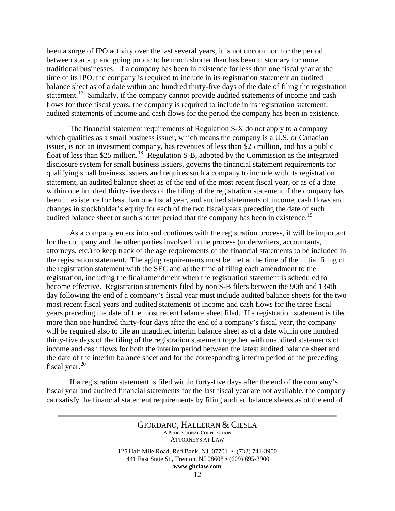been a surge of IPO activity over the last several years, it is not uncommon for the period between start-up and going public to be much shorter than has been customary for more traditional businesses. If a company has been in existence for less than one fiscal year at the time of its IPO, the company is required to include in its registration statement an audited balance sheet as of a date within one hundred thirty-five days of the date of filing the registration statement.<sup>[17](#page-15-1)</sup> Similarly, if the company cannot provide audited statements of income and cash flows for three fiscal years, the company is required to include in its registration statement, audited statements of income and cash flows for the period the company has been in existence.

 The financial statement requirements of Regulation S-X do not apply to a company which qualifies as a small business issuer, which means the company is a U.S. or Canadian issuer, is not an investment company, has revenues of less than \$25 million, and has a public float of less than \$25 million.<sup>[18](#page-15-1)</sup> Regulation S-B, adopted by the Commission as the integrated disclosure system for small business issuers, governs the financial statement requirements for qualifying small business issuers and requires such a company to include with its registration statement, an audited balance sheet as of the end of the most recent fiscal year, or as of a date within one hundred thirty-five days of the filing of the registration statement if the company has been in existence for less than one fiscal year, and audited statements of income, cash flows and changes in stockholder's equity for each of the two fiscal years preceding the date of such audited balance sheet or such shorter period that the company has been in existence.<sup>[19](#page-15-1)</sup>

 As a company enters into and continues with the registration process, it will be important for the company and the other parties involved in the process (underwriters, accountants, attorneys, etc.) to keep track of the age requirements of the financial statements to be included in the registration statement. The aging requirements must be met at the time of the initial filing of the registration statement with the SEC and at the time of filing each amendment to the registration, including the final amendment when the registration statement is scheduled to become effective. Registration statements filed by non S-B filers between the 90th and 134th day following the end of a company's fiscal year must include audited balance sheets for the two most recent fiscal years and audited statements of income and cash flows for the three fiscal years preceding the date of the most recent balance sheet filed. If a registration statement is filed more than one hundred thirty-four days after the end of a company's fiscal year, the company will be required also to file an unaudited interim balance sheet as of a date within one hundred thirty-five days of the filing of the registration statement together with unaudited statements of income and cash flows for both the interim period between the latest audited balance sheet and the date of the interim balance sheet and for the corresponding interim period of the preceding fiscal year. $20$ 

 If a registration statement is filed within forty-five days after the end of the company's fiscal year and audited financial statements for the last fiscal year are not available, the company can satisfy the financial statement requirements by filing audited balance sheets as of the end of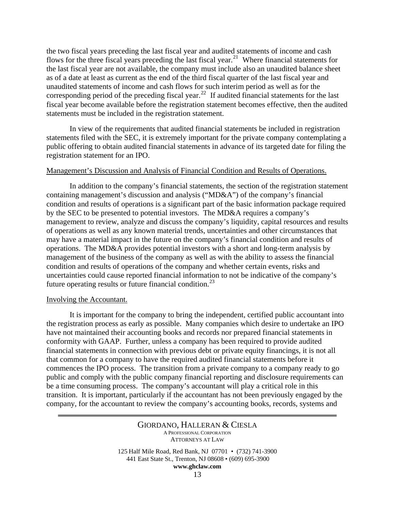the two fiscal years preceding the last fiscal year and audited statements of income and cash flows for the three fiscal years preceding the last fiscal year.<sup>[21](#page-15-1)</sup> Where financial statements for the last fiscal year are not available, the company must include also an unaudited balance sheet as of a date at least as current as the end of the third fiscal quarter of the last fiscal year and unaudited statements of income and cash flows for such interim period as well as for the corresponding period of the preceding fiscal year.<sup>[22](#page-15-1)</sup> If audited financial statements for the last fiscal year become available before the registration statement becomes effective, then the audited statements must be included in the registration statement.

 In view of the requirements that audited financial statements be included in registration statements filed with the SEC, it is extremely important for the private company contemplating a public offering to obtain audited financial statements in advance of its targeted date for filing the registration statement for an IPO.

## Management's Discussion and Analysis of Financial Condition and Results of Operations.

 In addition to the company's financial statements, the section of the registration statement containing management's discussion and analysis ("MD&A") of the company's financial condition and results of operations is a significant part of the basic information package required by the SEC to be presented to potential investors. The MD&A requires a company's management to review, analyze and discuss the company's liquidity, capital resources and results of operations as well as any known material trends, uncertainties and other circumstances that may have a material impact in the future on the company's financial condition and results of operations. The MD&A provides potential investors with a short and long-term analysis by management of the business of the company as well as with the ability to assess the financial condition and results of operations of the company and whether certain events, risks and uncertainties could cause reported financial information to not be indicative of the company's future operating results or future financial condition.<sup>[23](#page-15-1)</sup>

#### Involving the Accountant.

 It is important for the company to bring the independent, certified public accountant into the registration process as early as possible. Many companies which desire to undertake an IPO have not maintained their accounting books and records nor prepared financial statements in conformity with GAAP. Further, unless a company has been required to provide audited financial statements in connection with previous debt or private equity financings, it is not all that common for a company to have the required audited financial statements before it commences the IPO process. The transition from a private company to a company ready to go public and comply with the public company financial reporting and disclosure requirements can be a time consuming process. The company's accountant will play a critical role in this transition. It is important, particularly if the accountant has not been previously engaged by the company, for the accountant to review the company's accounting books, records, systems and

> GIORDANO, HALLERAN & CIESLA A PROFESSIONAL CORPORATION ATTORNEYS AT LAW 125 Half Mile Road, Red Bank, NJ 07701 • (732) 741-3900

441 East State St., Trenton, NJ 08608 • (609) 695-3900

**www.ghclaw.com**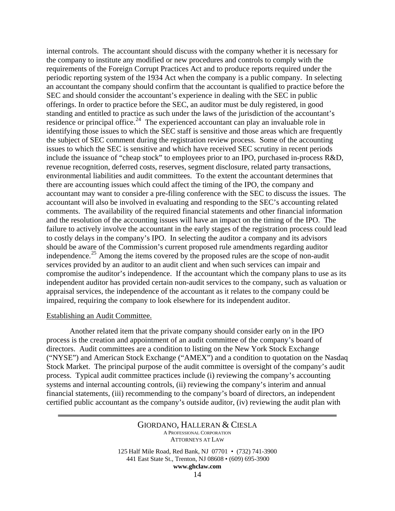internal controls. The accountant should discuss with the company whether it is necessary for the company to institute any modified or new procedures and controls to comply with the requirements of the Foreign Corrupt Practices Act and to produce reports required under the periodic reporting system of the 1934 Act when the company is a public company. In selecting an accountant the company should confirm that the accountant is qualified to practice before the SEC and should consider the accountant's experience in dealing with the SEC in public offerings. In order to practice before the SEC, an auditor must be duly registered, in good standing and entitled to practice as such under the laws of the jurisdiction of the accountant's residence or principal office.<sup>[24](#page-15-1)</sup> The experienced accountant can play an invaluable role in identifying those issues to which the SEC staff is sensitive and those areas which are frequently the subject of SEC comment during the registration review process. Some of the accounting issues to which the SEC is sensitive and which have received SEC scrutiny in recent periods include the issuance of "cheap stock" to employees prior to an IPO, purchased in-process R&D, revenue recognition, deferred costs, reserves, segment disclosure, related party transactions, environmental liabilities and audit committees. To the extent the accountant determines that there are accounting issues which could affect the timing of the IPO, the company and accountant may want to consider a pre-filing conference with the SEC to discuss the issues. The accountant will also be involved in evaluating and responding to the SEC's accounting related comments. The availability of the required financial statements and other financial information and the resolution of the accounting issues will have an impact on the timing of the IPO. The failure to actively involve the accountant in the early stages of the registration process could lead to costly delays in the company's IPO. In selecting the auditor a company and its advisors should be aware of the Commission's current proposed rule amendments regarding auditor independence.<sup>[25](#page-15-1)</sup> Among the items covered by the proposed rules are the scope of non-audit services provided by an auditor to an audit client and when such services can impair and compromise the auditor's independence. If the accountant which the company plans to use as its independent auditor has provided certain non-audit services to the company, such as valuation or appraisal services, the independence of the accountant as it relates to the company could be impaired, requiring the company to look elsewhere for its independent auditor.

### Establishing an Audit Committee.

 Another related item that the private company should consider early on in the IPO process is the creation and appointment of an audit committee of the company's board of directors. Audit committees are a condition to listing on the New York Stock Exchange ("NYSE") and American Stock Exchange ("AMEX") and a condition to quotation on the Nasdaq Stock Market. The principal purpose of the audit committee is oversight of the company's audit process. Typical audit committee practices include (i) reviewing the company's accounting systems and internal accounting controls, (ii) reviewing the company's interim and annual financial statements, (iii) recommending to the company's board of directors, an independent certified public accountant as the company's outside auditor, (iv) reviewing the audit plan with

> GIORDANO, HALLERAN & CIESLA A PROFESSIONAL CORPORATION ATTORNEYS AT LAW 125 Half Mile Road, Red Bank, NJ 07701 • (732) 741-3900 441 East State St., Trenton, NJ 08608 • (609) 695-3900

**www.ghclaw.com**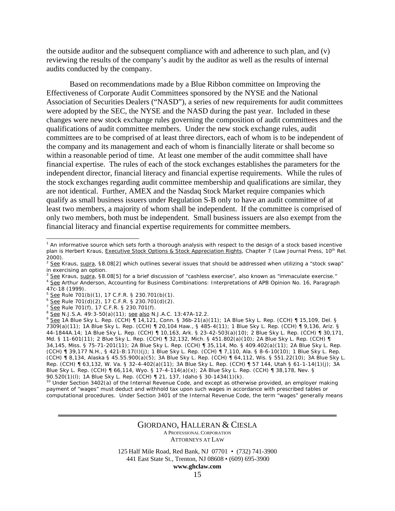the outside auditor and the subsequent compliance with and adherence to such plan, and (v) reviewing the results of the company's audit by the auditor as well as the results of internal audits conducted by the company.

 Based on recommendations made by a Blue Ribbon committee on Improving the Effectiveness of Corporate Audit Committees sponsored by the NYSE and the National Association of Securities Dealers ("NASD"), a series of new requirements for audit committees were adopted by the SEC, the NYSE and the NASD during the past year. Included in these changes were new stock exchange rules governing the composition of audit committees and the qualifications of audit committee members. Under the new stock exchange rules, audit committees are to be comprised of at least three directors, each of whom is to be independent of the company and its management and each of whom is financially literate or shall become so within a reasonable period of time. At least one member of the audit committee shall have financial expertise. The rules of each of the stock exchanges establishes the parameters for the independent director, financial literacy and financial expertise requirements. While the rules of the stock exchanges regarding audit committee membership and qualifications are similar, they are not identical. Further, AMEX and the Nasdaq Stock Market require companies which qualify as small business issuers under Regulation S-B only to have an audit committee of at least two members, a majority of whom shall be independent. If the committee is comprised of only two members, both must be independent. Small business issuers are also exempt from the financial literacy and financial expertise requirements for committee members.

 $\overline{a}$ 

#### GIORDANO, HALLERAN & CIESLA A PROFESSIONAL CORPORATION ATTORNEYS AT LAW

<sup>&</sup>lt;sup>1</sup> An informative source which sets forth a thorough analysis with respect to the design of a stock based incentive plan is Herbert Kraus, Executive Stock Options & Stock Appreciation Rights, Chapter 7 (Law Journal Press, 10<sup>th</sup> Rel. 2000).

 $2 \overline{\text{See}}$  Kraus, supra, §8.08[2] which outlines several issues that should be addressed when utilizing a "stock swap" in exercising an option.<br><sup>3</sup> See Kraus, supra, §8.08[5] for a brief discussion of "cashless exercise", also known as "immaculate exercise."

See Arthur Anderson, Accounting for Business Combinations: Interpretations of APB Opinion No. 16, Paragraph 47c-18 (1999).

<sup>&</sup>lt;sup>5</sup> <u>See</u> Rule 701(b)(1), 17 C.F.R. § 230.701(b)(1).<br>
<sup>6</sup> <u>See</u> Rule 701(d)(2), 17 C.F.R. § 230.701(d)(2).<br>
<sup>7</sup> <u>See</u> Rule 701(f), 17 C.F.R. § 230.701(f).<br>
<sup>8</sup> <u>See</u> N.J.S.A. 49:3-50(a)(11); <u>see also</u> N.J.A.C. 13:47A-12. 7309(a)(11); 1A Blue Sky L. Rep. (CCH) ¶ 20,104 Haw., § 485-4(11); 1 Blue Sky L. Rep. (CCH) ¶ 9,136, Ariz. § 44-1844A.14; 1A Blue Sky L. Rep. (CCH) ¶ 10,163, Ark. § 23-42-503(a)(10); 2 Blue Sky L. Rep. (CCH) ¶ 30,171, Md. § 11-601(11); 2 Blue Sky L. Rep. (CCH) ¶ 32,132, Mich. § 451.802(a)(10); 2A Blue Sky L. Rep. (CCH) ¶ 34,145, Miss. § 75-71-201(11); 2A Blue Sky L. Rep. (CCH) ¶ 35,114, Mo. § 409.402(a)(11); 2A Blue Sky L. Rep. (CCH) ¶ 39,177 N.H., § 421-B:17(I)(j); 1 Blue Sky L. Rep. (CCH) ¶ 7,110, Ala. § 8-6-10(10); 1 Blue Sky L. Rep. (CCH) ¶ 8,134, Alaska § 45.55.900(a)(5); 3A Blue Sky L. Rep. (CCH) ¶ 64,112, Wis. § 551.22(10); 3A Blue Sky L. Rep. (CCH) ¶ 63,132, W. Va. § 32-4-402(a)(11); 3A Blue Sky L. Rep. (CCH) ¶ 57 144, Utah § 61-1-14(1)(j); 3A Blue Sky L. Rep. (CCH) ¶ 66,114, Wyo. § 17-4-114(a)(x); 2A Blue Sky L. Rep. (CCH) ¶ 38,178, Nev. § 90.520(1)(l); 1A Blue Sky L. Rep. (CCH) ¶ 21, 137, Idaho § 30-1434(1)(k).

<sup>&</sup>lt;sup>10</sup> Under Section 3402(a) of the Internal Revenue Code, and except as otherwise provided, an employer making payment of "wages" must deduct and withhold tax upon such wages in accordance with prescribed tables or computational procedures. Under Section 3401 of the Internal Revenue Code, the term "wages" generally means